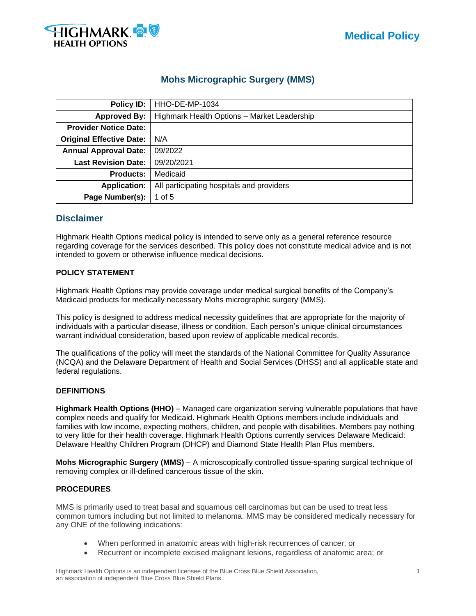

# **Mohs Micrographic Surgery (MMS)**

| Policy ID:                      | HHO-DE-MP-1034                              |  |  |  |
|---------------------------------|---------------------------------------------|--|--|--|
| <b>Approved By:</b>             | Highmark Health Options - Market Leadership |  |  |  |
| <b>Provider Notice Date:</b>    |                                             |  |  |  |
| <b>Original Effective Date:</b> | N/A                                         |  |  |  |
| <b>Annual Approval Date:</b>    | 09/2022                                     |  |  |  |
| <b>Last Revision Date:</b>      | 09/20/2021                                  |  |  |  |
| <b>Products:</b>                | Medicaid                                    |  |  |  |
| <b>Application:</b>             | All participating hospitals and providers   |  |  |  |
| Page Number(s):                 | 1 of $5$                                    |  |  |  |

## **Disclaimer**

Highmark Health Options medical policy is intended to serve only as a general reference resource regarding coverage for the services described. This policy does not constitute medical advice and is not intended to govern or otherwise influence medical decisions.

### **POLICY STATEMENT**

Highmark Health Options may provide coverage under medical surgical benefits of the Company's Medicaid products for medically necessary Mohs micrographic surgery (MMS).

This policy is designed to address medical necessity guidelines that are appropriate for the majority of individuals with a particular disease, illness or condition. Each person's unique clinical circumstances warrant individual consideration, based upon review of applicable medical records.

The qualifications of the policy will meet the standards of the National Committee for Quality Assurance (NCQA) and the Delaware Department of Health and Social Services (DHSS) and all applicable state and federal regulations.

## **DEFINITIONS**

**Highmark Health Options (HHO)** – Managed care organization serving vulnerable populations that have complex needs and qualify for Medicaid. Highmark Health Options members include individuals and families with low income, expecting mothers, children, and people with disabilities. Members pay nothing to very little for their health coverage. Highmark Health Options currently services Delaware Medicaid: Delaware Healthy Children Program (DHCP) and Diamond State Health Plan Plus members.

**Mohs Micrographic Surgery (MMS)** – A microscopically controlled tissue-sparing surgical technique of removing complex or ill-defined cancerous tissue of the skin.

#### **PROCEDURES**

MMS is primarily used to treat basal and squamous cell carcinomas but can be used to treat less common tumors including but not limited to melanoma. MMS may be considered medically necessary for any ONE of the following indications:

- When performed in anatomic areas with high-risk recurrences of cancer; or
- Recurrent or incomplete excised malignant lesions, regardless of anatomic area; or

Highmark Health Options is an independent licensee of the Blue Cross Blue Shield Association, **1** an association of independent Blue Cross Blue Shield Plans.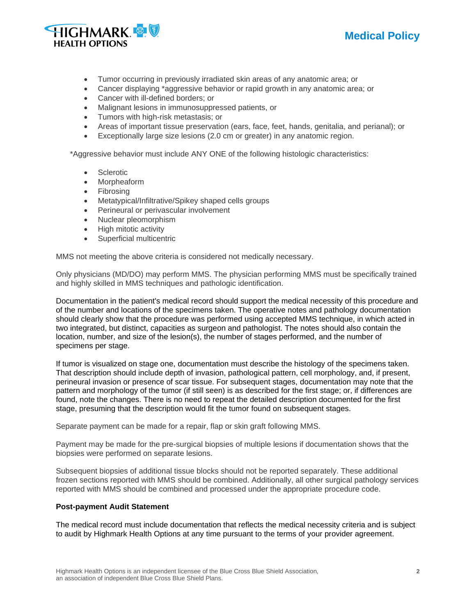



- Tumor occurring in previously irradiated skin areas of any anatomic area; or
- Cancer displaying \*aggressive behavior or rapid growth in any anatomic area; or
- Cancer with ill-defined borders; or
- Malignant lesions in immunosuppressed patients, or
- Tumors with high-risk metastasis; or
- Areas of important tissue preservation (ears, face, feet, hands, genitalia, and perianal); or
- Exceptionally large size lesions (2.0 cm or greater) in any anatomic region.

\*Aggressive behavior must include ANY ONE of the following histologic characteristics:

- Sclerotic
- Morpheaform
- Fibrosing
- Metatypical/Infiltrative/Spikey shaped cells groups
- Perineural or perivascular involvement
- Nuclear pleomorphism
- High mitotic activity
- Superficial multicentric

MMS not meeting the above criteria is considered not medically necessary.

Only physicians (MD/DO) may perform MMS. The physician performing MMS must be specifically trained and highly skilled in MMS techniques and pathologic identification.

Documentation in the patient's medical record should support the medical necessity of this procedure and of the number and locations of the specimens taken. The operative notes and pathology documentation should clearly show that the procedure was performed using accepted MMS technique, in which acted in two integrated, but distinct, capacities as surgeon and pathologist. The notes should also contain the location, number, and size of the lesion(s), the number of stages performed, and the number of specimens per stage.

If tumor is visualized on stage one, documentation must describe the histology of the specimens taken. That description should include depth of invasion, pathological pattern, cell morphology, and, if present, perineural invasion or presence of scar tissue. For subsequent stages, documentation may note that the pattern and morphology of the tumor (if still seen) is as described for the first stage; or, if differences are found, note the changes. There is no need to repeat the detailed description documented for the first stage, presuming that the description would fit the tumor found on subsequent stages.

Separate payment can be made for a repair, flap or skin graft following MMS.

Payment may be made for the pre-surgical biopsies of multiple lesions if documentation shows that the biopsies were performed on separate lesions.

Subsequent biopsies of additional tissue blocks should not be reported separately. These additional frozen sections reported with MMS should be combined. Additionally, all other surgical pathology services reported with MMS should be combined and processed under the appropriate procedure code.

#### **Post-payment Audit Statement**

The medical record must include documentation that reflects the medical necessity criteria and is subject to audit by Highmark Health Options at any time pursuant to the terms of your provider agreement.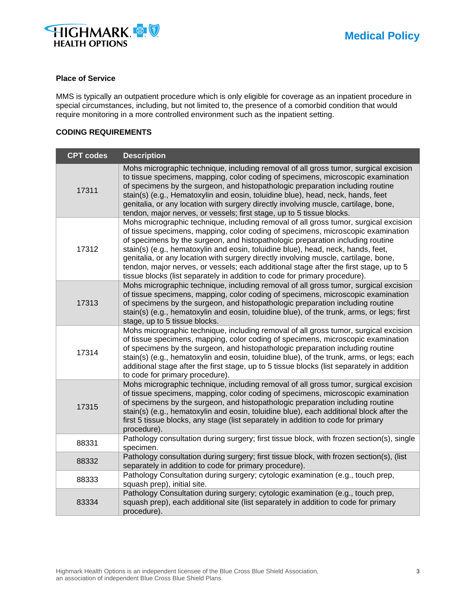

#### **Place of Service**

MMS is typically an outpatient procedure which is only eligible for coverage as an inpatient procedure in special circumstances, including, but not limited to, the presence of a comorbid condition that would require monitoring in a more controlled environment such as the inpatient setting.

## **CODING REQUIREMENTS**

| <b>CPT codes</b> | <b>Description</b>                                                                                                                                                                                                                                                                                                                                                                                                                                                                                                                                                                                            |
|------------------|---------------------------------------------------------------------------------------------------------------------------------------------------------------------------------------------------------------------------------------------------------------------------------------------------------------------------------------------------------------------------------------------------------------------------------------------------------------------------------------------------------------------------------------------------------------------------------------------------------------|
| 17311            | Mohs micrographic technique, including removal of all gross tumor, surgical excision<br>to tissue specimens, mapping, color coding of specimens, microscopic examination<br>of specimens by the surgeon, and histopathologic preparation including routine<br>stain(s) (e.g., Hematoxylin and eosin, toluidine blue), head, neck, hands, feet<br>genitalia, or any location with surgery directly involving muscle, cartilage, bone,<br>tendon, major nerves, or vessels; first stage, up to 5 tissue blocks.                                                                                                 |
| 17312            | Mohs micrographic technique, including removal of all gross tumor, surgical excision<br>of tissue specimens, mapping, color coding of specimens, microscopic examination<br>of specimens by the surgeon, and histopathologic preparation including routine<br>stain(s) (e.g., hematoxylin and eosin, toluidine blue), head, neck, hands, feet,<br>genitalia, or any location with surgery directly involving muscle, cartilage, bone,<br>tendon, major nerves, or vessels; each additional stage after the first stage, up to 5<br>tissue blocks (list separately in addition to code for primary procedure). |
| 17313            | Mohs micrographic technique, including removal of all gross tumor, surgical excision<br>of tissue specimens, mapping, color coding of specimens, microscopic examination<br>of specimens by the surgeon, and histopathologic preparation including routine<br>stain(s) (e.g., hematoxylin and eosin, toluidine blue), of the trunk, arms, or legs; first<br>stage, up to 5 tissue blocks.                                                                                                                                                                                                                     |
| 17314            | Mohs micrographic technique, including removal of all gross tumor, surgical excision<br>of tissue specimens, mapping, color coding of specimens, microscopic examination<br>of specimens by the surgeon, and histopathologic preparation including routine<br>stain(s) (e.g., hematoxylin and eosin, toluidine blue), of the trunk, arms, or legs; each<br>additional stage after the first stage, up to 5 tissue blocks (list separately in addition<br>to code for primary procedure).                                                                                                                      |
| 17315            | Mohs micrographic technique, including removal of all gross tumor, surgical excision<br>of tissue specimens, mapping, color coding of specimens, microscopic examination<br>of specimens by the surgeon, and histopathologic preparation including routine<br>stain(s) (e.g., hematoxylin and eosin, toluidine blue), each additional block after the<br>first 5 tissue blocks, any stage (list separately in addition to code for primary<br>procedure).                                                                                                                                                     |
| 88331            | Pathology consultation during surgery; first tissue block, with frozen section(s), single<br>specimen.                                                                                                                                                                                                                                                                                                                                                                                                                                                                                                        |
| 88332            | Pathology consultation during surgery; first tissue block, with frozen section(s), (list<br>separately in addition to code for primary procedure).                                                                                                                                                                                                                                                                                                                                                                                                                                                            |
| 88333            | Pathology Consultation during surgery; cytologic examination (e.g., touch prep,<br>squash prep), initial site.                                                                                                                                                                                                                                                                                                                                                                                                                                                                                                |
| 83334            | Pathology Consultation during surgery; cytologic examination (e.g., touch prep,<br>squash prep), each additional site (list separately in addition to code for primary<br>procedure).                                                                                                                                                                                                                                                                                                                                                                                                                         |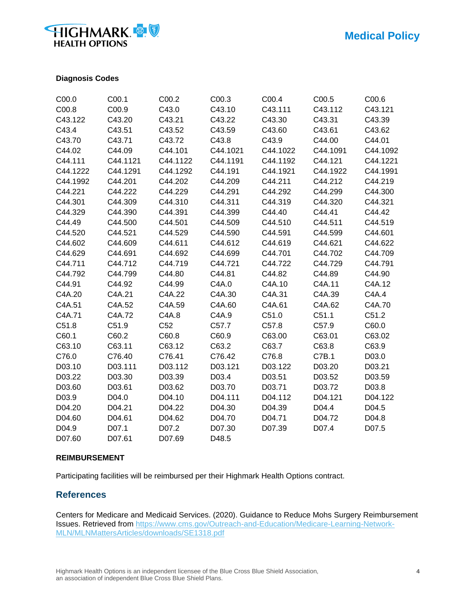# **HIGHMARK HEALTH OPTIONS**

## **Diagnosis Codes**

| C00.0    | C00.1    | C00.2    | C00.3    | C00.4    | C00.5    | C00.6    |
|----------|----------|----------|----------|----------|----------|----------|
| C00.8    | C00.9    | C43.0    | C43.10   | C43.111  | C43.112  | C43.121  |
| C43.122  | C43.20   | C43.21   | C43.22   | C43.30   | C43.31   | C43.39   |
| C43.4    | C43.51   | C43.52   | C43.59   | C43.60   | C43.61   | C43.62   |
| C43.70   | C43.71   | C43.72   | C43.8    | C43.9    | C44.00   | C44.01   |
| C44.02   | C44.09   | C44.101  | C44.1021 | C44.1022 | C44.1091 | C44.1092 |
| C44.111  | C44.1121 | C44.1122 | C44.1191 | C44.1192 | C44.121  | C44.1221 |
| C44.1222 | C44.1291 | C44.1292 | C44.191  | C44.1921 | C44.1922 | C44.1991 |
| C44.1992 | C44.201  | C44.202  | C44.209  | C44.211  | C44.212  | C44.219  |
| C44.221  | C44.222  | C44.229  | C44.291  | C44.292  | C44.299  | C44.300  |
| C44.301  | C44.309  | C44.310  | C44.311  | C44.319  | C44.320  | C44.321  |
| C44.329  | C44.390  | C44.391  | C44.399  | C44.40   | C44.41   | C44.42   |
| C44.49   | C44.500  | C44.501  | C44.509  | C44.510  | C44.511  | C44.519  |
| C44.520  | C44.521  | C44.529  | C44.590  | C44.591  | C44.599  | C44.601  |
| C44.602  | C44.609  | C44.611  | C44.612  | C44.619  | C44.621  | C44.622  |
| C44.629  | C44.691  | C44.692  | C44.699  | C44.701  | C44.702  | C44.709  |
| C44.711  | C44.712  | C44.719  | C44.721  | C44.722  | C44.729  | C44.791  |
| C44.792  | C44.799  | C44.80   | C44.81   | C44.82   | C44.89   | C44.90   |
| C44.91   | C44.92   | C44.99   | C4A.0    | C4A.10   | C4A.11   | C4A.12   |
| C4A.20   | C4A.21   | C4A.22   | C4A.30   | C4A.31   | C4A.39   | C4A.4    |
| C4A.51   | C4A.52   | C4A.59   | C4A.60   | C4A.61   | C4A.62   | C4A.70   |
| C4A.71   | C4A.72   | C4A.8    | C4A.9    | C51.0    | C51.1    | C51.2    |
| C51.8    | C51.9    | C52      | C57.7    | C57.8    | C57.9    | C60.0    |
| C60.1    | C60.2    | C60.8    | C60.9    | C63.00   | C63.01   | C63.02   |
| C63.10   | C63.11   | C63.12   | C63.2    | C63.7    | C63.8    | C63.9    |
| C76.0    | C76.40   | C76.41   | C76.42   | C76.8    | C7B.1    | D03.0    |
| D03.10   | D03.111  | D03.112  | D03.121  | D03.122  | D03.20   | D03.21   |
| D03.22   | D03.30   | D03.39   | D03.4    | D03.51   | D03.52   | D03.59   |
| D03.60   | D03.61   | D03.62   | D03.70   | D03.71   | D03.72   | D03.8    |
| D03.9    | D04.0    | D04.10   | D04.111  | D04.112  | D04.121  | D04.122  |
| D04.20   | D04.21   | D04.22   | D04.30   | D04.39   | D04.4    | D04.5    |
| D04.60   | D04.61   | D04.62   | D04.70   | D04.71   | D04.72   | D04.8    |
| D04.9    | D07.1    | D07.2    | D07.30   | D07.39   | D07.4    | D07.5    |
| D07.60   | D07.61   | D07.69   | D48.5    |          |          |          |

#### **REIMBURSEMENT**

Participating facilities will be reimbursed per their Highmark Health Options contract.

## **References**

Centers for Medicare and Medicaid Services. (2020). Guidance to Reduce Mohs Surgery Reimbursement Issues. Retrieved from [https://www.cms.gov/Outreach-and-Education/Medicare-Learning-Network-](https://www.cms.gov/Outreach-and-Education/Medicare-Learning-Network-MLN/MLNMattersArticles/downloads/SE1318.pdf)[MLN/MLNMattersArticles/downloads/SE1318.pdf](https://www.cms.gov/Outreach-and-Education/Medicare-Learning-Network-MLN/MLNMattersArticles/downloads/SE1318.pdf)

Highmark Health Options is an independent licensee of the Blue Cross Blue Shield Association, **4** an association of independent Blue Cross Blue Shield Plans.